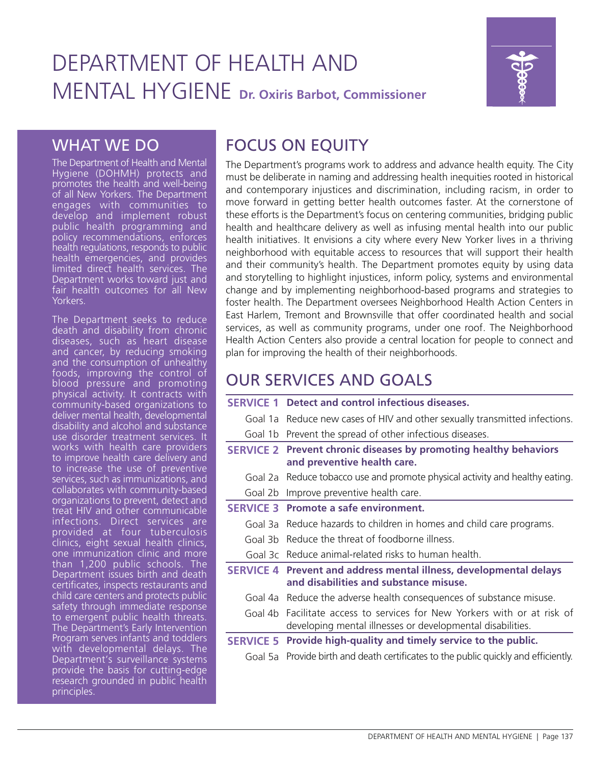# DEPARTMENT OF HEALTH AND MENTAL HYGIENE **Dr. Oxiris Barbot, Commissioner**



### WHAT WE DO

The Department of Health and Mental Hygiene (DOHMH) protects and promotes the health and well-being of all New Yorkers. The Department engages with communities to develop and implement robust public health programming and policy recommendations, enforces health regulations, responds to public health emergencies, and provides limited direct health services. The Department works toward just and fair health outcomes for all New Yorkers.

The Department seeks to reduce death and disability from chronic diseases, such as heart disease and cancer, by reducing smoking and the consumption of unhealthy foods, improving the control of blood pressure and promoting physical activity. It contracts with community-based organizations to deliver mental health, developmental disability and alcohol and substance use disorder treatment services. It works with health care providers to improve health care delivery and to increase the use of preventive services, such as immunizations, and collaborates with community-based organizations to prevent, detect and treat HIV and other communicable infections. Direct services are provided at four tuberculosis clinics, eight sexual health clinics, one immunization clinic and more than 1,200 public schools. The Department issues birth and death certificates, inspects restaurants and child care centers and protects public safety through immediate response to emergent public health threats. The Department's Early Intervention Program serves infants and toddlers with developmental delays. The Department's surveillance systems provide the basis for cutting-edge research grounded in public health principles.

## FOCUS ON EQUITY

The Department's programs work to address and advance health equity. The City must be deliberate in naming and addressing health inequities rooted in historical and contemporary injustices and discrimination, including racism, in order to move forward in getting better health outcomes faster. At the cornerstone of these efforts is the Department's focus on centering communities, bridging public health and healthcare delivery as well as infusing mental health into our public health initiatives. It envisions a city where every New Yorker lives in a thriving neighborhood with equitable access to resources that will support their health and their community's health. The Department promotes equity by using data and storytelling to highlight injustices, inform policy, systems and environmental change and by implementing neighborhood-based programs and strategies to foster health. The Department oversees Neighborhood Health Action Centers in East Harlem, Tremont and Brownsville that offer coordinated health and social services, as well as community programs, under one roof. The Neighborhood Health Action Centers also provide a central location for people to connect and plan for improving the health of their neighborhoods.

### OUR SERVICES AND GOALS

| <b>SERVICE 1</b> | Detect and control infectious diseases.                                                                                        |
|------------------|--------------------------------------------------------------------------------------------------------------------------------|
| Goal 1a          | Reduce new cases of HIV and other sexually transmitted infections.                                                             |
| Goal 1b          | Prevent the spread of other infectious diseases.                                                                               |
|                  | <b>SERVICE 2</b> Prevent chronic diseases by promoting healthy behaviors<br>and preventive health care.                        |
| Goal 2a          | Reduce tobacco use and promote physical activity and healthy eating.                                                           |
| Goal 2b          | Improve preventive health care.                                                                                                |
| <b>SERVICE 3</b> | Promote a safe environment.                                                                                                    |
| Goal 3a          | Reduce hazards to children in homes and child care programs.                                                                   |
| Goal 3b          | Reduce the threat of foodborne illness.                                                                                        |
|                  | Goal 3c Reduce animal-related risks to human health.                                                                           |
|                  | <b>SERVICE 4</b> Prevent and address mental illness, developmental delays<br>and disabilities and substance misuse.            |
|                  | Goal 4a Reduce the adverse health consequences of substance misuse.                                                            |
| Goal 4b          | Facilitate access to services for New Yorkers with or at risk of<br>developing mental illnesses or developmental disabilities. |
|                  | <b>SERVICE 5</b> Provide high-quality and timely service to the public.                                                        |
|                  | Goal 5a Provide birth and death certificates to the public quickly and efficiently.                                            |
|                  |                                                                                                                                |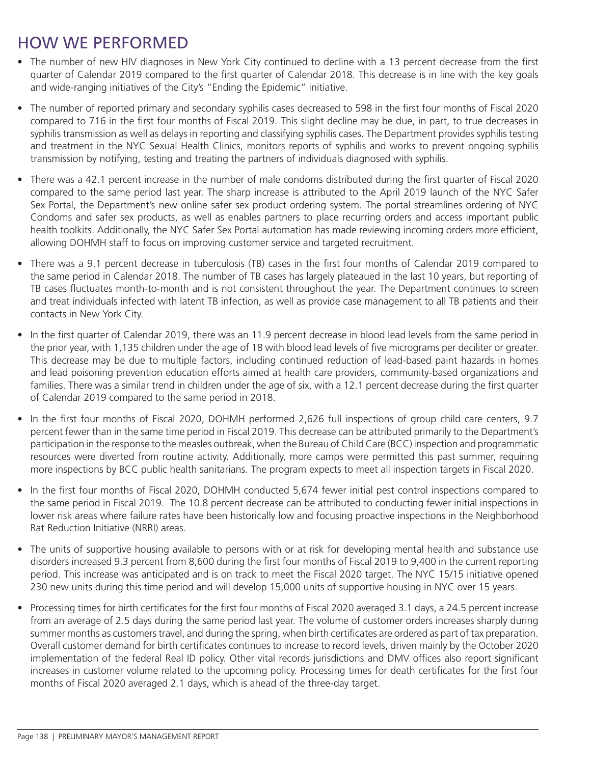### HOW WE PERFORMED

- The number of new HIV diagnoses in New York City continued to decline with a 13 percent decrease from the first quarter of Calendar 2019 compared to the first quarter of Calendar 2018. This decrease is in line with the key goals and wide-ranging initiatives of the City's "Ending the Epidemic" initiative.
- The number of reported primary and secondary syphilis cases decreased to 598 in the first four months of Fiscal 2020 compared to 716 in the first four months of Fiscal 2019. This slight decline may be due, in part, to true decreases in syphilis transmission as well as delays in reporting and classifying syphilis cases. The Department provides syphilis testing and treatment in the NYC Sexual Health Clinics, monitors reports of syphilis and works to prevent ongoing syphilis transmission by notifying, testing and treating the partners of individuals diagnosed with syphilis.
- There was a 42.1 percent increase in the number of male condoms distributed during the first quarter of Fiscal 2020 compared to the same period last year. The sharp increase is attributed to the April 2019 launch of the NYC Safer Sex Portal, the Department's new online safer sex product ordering system. The portal streamlines ordering of NYC Condoms and safer sex products, as well as enables partners to place recurring orders and access important public health toolkits. Additionally, the NYC Safer Sex Portal automation has made reviewing incoming orders more efficient, allowing DOHMH staff to focus on improving customer service and targeted recruitment.
- There was a 9.1 percent decrease in tuberculosis (TB) cases in the first four months of Calendar 2019 compared to the same period in Calendar 2018. The number of TB cases has largely plateaued in the last 10 years, but reporting of TB cases fluctuates month-to-month and is not consistent throughout the year. The Department continues to screen and treat individuals infected with latent TB infection, as well as provide case management to all TB patients and their contacts in New York City.
- In the first quarter of Calendar 2019, there was an 11.9 percent decrease in blood lead levels from the same period in the prior year, with 1,135 children under the age of 18 with blood lead levels of five micrograms per deciliter or greater. This decrease may be due to multiple factors, including continued reduction of lead-based paint hazards in homes and lead poisoning prevention education efforts aimed at health care providers, community-based organizations and families. There was a similar trend in children under the age of six, with a 12.1 percent decrease during the first quarter of Calendar 2019 compared to the same period in 2018.
- In the first four months of Fiscal 2020, DOHMH performed 2,626 full inspections of group child care centers, 9.7 percent fewer than in the same time period in Fiscal 2019. This decrease can be attributed primarily to the Department's participation in the response to the measles outbreak, when the Bureau of Child Care (BCC) inspection and programmatic resources were diverted from routine activity. Additionally, more camps were permitted this past summer, requiring more inspections by BCC public health sanitarians. The program expects to meet all inspection targets in Fiscal 2020.
- In the first four months of Fiscal 2020, DOHMH conducted 5,674 fewer initial pest control inspections compared to the same period in Fiscal 2019. The 10.8 percent decrease can be attributed to conducting fewer initial inspections in lower risk areas where failure rates have been historically low and focusing proactive inspections in the Neighborhood Rat Reduction Initiative (NRRI) areas.
- The units of supportive housing available to persons with or at risk for developing mental health and substance use disorders increased 9.3 percent from 8,600 during the first four months of Fiscal 2019 to 9,400 in the current reporting period. This increase was anticipated and is on track to meet the Fiscal 2020 target. The NYC 15/15 initiative opened 230 new units during this time period and will develop 15,000 units of supportive housing in NYC over 15 years.
- Processing times for birth certificates for the first four months of Fiscal 2020 averaged 3.1 days, a 24.5 percent increase from an average of 2.5 days during the same period last year. The volume of customer orders increases sharply during summer months as customers travel, and during the spring, when birth certificates are ordered as part of tax preparation. Overall customer demand for birth certificates continues to increase to record levels, driven mainly by the October 2020 implementation of the federal Real ID policy. Other vital records jurisdictions and DMV offices also report significant increases in customer volume related to the upcoming policy. Processing times for death certificates for the first four months of Fiscal 2020 averaged 2.1 days, which is ahead of the three-day target.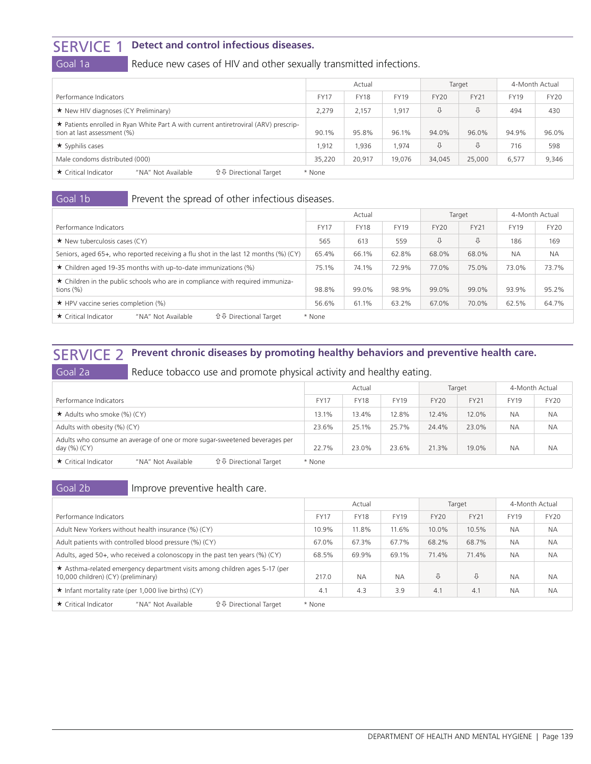#### SERVICE 1 **Detect and control infectious diseases.**

#### Goal 1a Reduce new cases of HIV and other sexually transmitted infections.

|                                                                                                                     | Actual      |             |             |             | Target      | 4-Month Actual |             |  |  |  |
|---------------------------------------------------------------------------------------------------------------------|-------------|-------------|-------------|-------------|-------------|----------------|-------------|--|--|--|
| Performance Indicators                                                                                              | <b>FY17</b> | <b>FY18</b> | <b>FY19</b> | <b>FY20</b> | <b>FY21</b> | <b>FY19</b>    | <b>FY20</b> |  |  |  |
| ★ New HIV diagnoses (CY Preliminary)                                                                                | 2,279       | 2,157       | 1,917       | ⇩           | ⇩           | 494            | 430         |  |  |  |
| ★ Patients enrolled in Ryan White Part A with current antiretroviral (ARV) prescrip-<br>tion at last assessment (%) | 90.1%       | 95.8%       | 96.1%       | 94.0%       | 96.0%       | 94.9%          | 96.0%       |  |  |  |
| $\star$ Syphilis cases                                                                                              | 1,912       | 1,936       | 1.974       | ⇩           | ⇩           | 716            | 598         |  |  |  |
| Male condoms distributed (000)                                                                                      | 35,220      | 20,917      | 19,076      | 34,045      | 25,000      | 6,577          | 9,346       |  |  |  |
| <b>û ↓ Directional Target</b><br>★ Critical Indicator<br>"NA" Not Available<br>* None                               |             |             |             |             |             |                |             |  |  |  |

#### Goal 1b Prevent the spread of other infectious diseases.

|                                                                                                | Actual      |             |             | Target      |             | 4-Month Actual |             |  |  |
|------------------------------------------------------------------------------------------------|-------------|-------------|-------------|-------------|-------------|----------------|-------------|--|--|
| Performance Indicators                                                                         | <b>FY17</b> | <b>FY18</b> | <b>FY19</b> | <b>FY20</b> | <b>FY21</b> | <b>FY19</b>    | <b>FY20</b> |  |  |
| $\star$ New tuberculosis cases (CY)                                                            | 565         | 613         | 559         | ⇩           | ⇩           | 186            | 169         |  |  |
| Seniors, aged 65+, who reported receiving a flu shot in the last 12 months $(\%)$ (CY)         | 65.4%       | 66.1%       | 62.8%       | 68.0%       | 68.0%       | <b>NA</b>      | <b>NA</b>   |  |  |
| $\star$ Children aged 19-35 months with up-to-date immunizations (%)                           |             | 74.1%       | 72.9%       | 77.0%       | 75.0%       | 73.0%          | 73.7%       |  |  |
| ★ Children in the public schools who are in compliance with required immuniza-<br>tions $(\%)$ |             | 99.0%       | 98.9%       | 99.0%       | 99.0%       | 93.9%          | 95.2%       |  |  |
| $\star$ HPV vaccine series completion (%)                                                      |             | 61.1%       | 63.2%       | 67.0%       | 70.0%       | 62.5%          | 64.7%       |  |  |
| <b>û ↓ Directional Target</b><br>$\star$ Critical Indicator<br>"NA" Not Available<br>* None    |             |             |             |             |             |                |             |  |  |

### SERVICE 2 **Prevent chronic diseases by promoting healthy behaviors and preventive health care.**

Goal 2a Reduce tobacco use and promote physical activity and healthy eating.

|                                                                                               |             | Actual      |             |             | Target      | 4-Month Actual |             |
|-----------------------------------------------------------------------------------------------|-------------|-------------|-------------|-------------|-------------|----------------|-------------|
| Performance Indicators                                                                        | <b>FY17</b> | <b>FY18</b> | <b>FY19</b> | <b>FY20</b> | <b>FY21</b> | <b>FY19</b>    | <b>FY20</b> |
| $\star$ Adults who smoke $(\%)$ (CY)                                                          | 13.1%       | 13.4%       | 12.8%       | 12.4%       | 12.0%       | <b>NA</b>      | <b>NA</b>   |
| Adults with obesity (%) (CY)                                                                  | 23.6%       | 25.1%       | 25.7%       | 24.4%       | 23.0%       | <b>NA</b>      | <b>NA</b>   |
| Adults who consume an average of one or more sugar-sweetened beverages per<br>day $(\%)$ (CY) | 22.7%       | 23.0%       | 23.6%       | 21.3%       | 19.0%       | <b>NA</b>      | <b>NA</b>   |
| <b>û ↓ Directional Target</b><br>$\star$ Critical Indicator<br>"NA" Not Available             | * None      |             |             |             |             |                |             |

#### Goal 2b **Improve preventive health care.**

|                                                                                                                   | Actual      |             |             | Target      |             | 4-Month Actual |             |  |
|-------------------------------------------------------------------------------------------------------------------|-------------|-------------|-------------|-------------|-------------|----------------|-------------|--|
| Performance Indicators                                                                                            | <b>FY17</b> | <b>FY18</b> | <b>FY19</b> | <b>FY20</b> | <b>FY21</b> | <b>FY19</b>    | <b>FY20</b> |  |
| Adult New Yorkers without health insurance (%) (CY)                                                               | 10.9%       | 11.8%       | 11.6%       | 10.0%       | 10.5%       | <b>NA</b>      | <b>NA</b>   |  |
| Adult patients with controlled blood pressure (%) (CY)                                                            | 67.0%       | 67.3%       | 67.7%       | 68.2%       | 68.7%       | <b>NA</b>      | <b>NA</b>   |  |
| Adults, aged 50+, who received a colonoscopy in the past ten years $(\%)$ (CY)                                    | 68.5%       | 69.9%       | 69.1%       | 71.4%       | 71.4%       | <b>NA</b>      | <b>NA</b>   |  |
| ★ Asthma-related emergency department visits among children ages 5-17 (per<br>10,000 children) (CY) (preliminary) | 217.0       | <b>NA</b>   | <b>NA</b>   | ⇩           | ⇩           | <b>NA</b>      | <b>NA</b>   |  |
| $\star$ Infant mortality rate (per 1,000 live births) (CY)                                                        | 4.1         | 4.3         | 3.9         | 4.1         | 4.1         | <b>NA</b>      | <b>NA</b>   |  |
| <b>û ↓</b> Directional Target<br>★ Critical Indicator<br>"NA" Not Available<br>* None                             |             |             |             |             |             |                |             |  |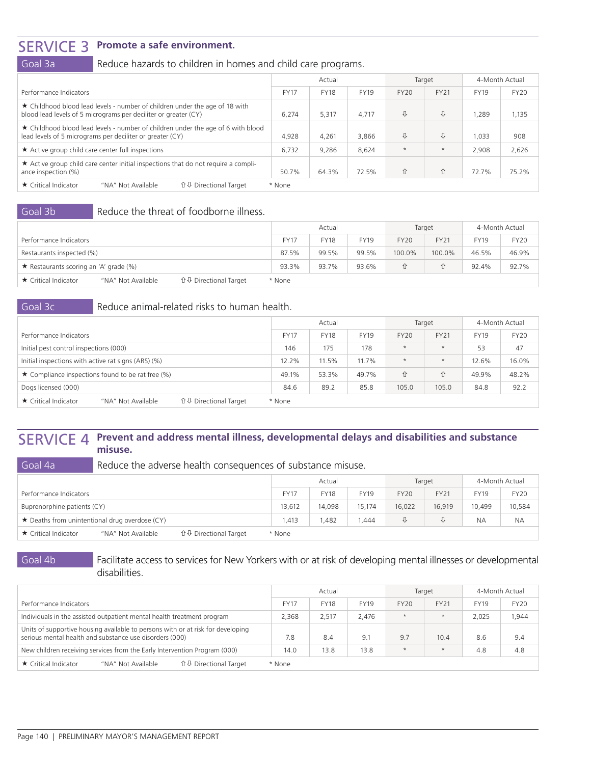#### SERVICE 3 **Promote a safe environment.**

#### Goal 3a Reduce hazards to children in homes and child care programs.

|                                                                                                                                                | Actual      |             |             | Target      |         | 4-Month Actual |       |  |
|------------------------------------------------------------------------------------------------------------------------------------------------|-------------|-------------|-------------|-------------|---------|----------------|-------|--|
| Performance Indicators                                                                                                                         | <b>FY17</b> | <b>FY18</b> | <b>FY19</b> | <b>FY20</b> | FY21    | <b>FY19</b>    | FY20  |  |
| ★ Childhood blood lead levels - number of children under the age of 18 with<br>blood lead levels of 5 micrograms per deciliter or greater (CY) | 6,274       | 5,317       | 4.717       | ⇩           | ⇩       | 1,289          | 1,135 |  |
| ★ Childhood blood lead levels - number of children under the age of 6 with blood<br>lead levels of 5 micrograms per deciliter or greater (CY)  | 4,928       | 4,261       | 3.866       | ⇩           | ⇩       | 1.033          | 908   |  |
| ★ Active group child care center full inspections                                                                                              | 6,732       | 9,286       | 8.624       | $\star$     | $\star$ | 2.908          | 2,626 |  |
| ★ Active group child care center initial inspections that do not require a compli-<br>ance inspection (%)                                      | 50.7%       | 64.3%       | 72.5%       | ⇧           | ⇧       | 72.7%          | 75.2% |  |
| <b>û ↓</b> Directional Target<br>$\star$ Critical Indicator<br>"NA" Not Available<br>* None                                                    |             |             |             |             |         |                |       |  |

#### Goal 3b Reduce the threat of foodborne illness.

|                                              |                    |                              | Actual      |             |             |             | Target      | 4-Month Actual |             |
|----------------------------------------------|--------------------|------------------------------|-------------|-------------|-------------|-------------|-------------|----------------|-------------|
| Performance Indicators                       |                    |                              | <b>FY17</b> | <b>FY18</b> | <b>FY19</b> | <b>FY20</b> | <b>FY21</b> | FY19           | <b>FY20</b> |
| Restaurants inspected (%)                    |                    |                              | 87.5%       | 99.5%       | 99.5%       | 100.0%      | 100.0%      | 46.5%          | 46.9%       |
| $\star$ Restaurants scoring an 'A' grade (%) |                    |                              | 93.3%       | 93.7%       | 93.6%       | ⇧           |             | 92.4%          | 92.7%       |
| $\star$ Critical Indicator                   | "NA" Not Available | <b>↑↓</b> Directional Target | * None      |             |             |             |             |                |             |

#### Goal 3c Reduce animal-related risks to human health.

|                                                                                   | Actual      |             |             |             | Target      | 4-Month Actual |             |
|-----------------------------------------------------------------------------------|-------------|-------------|-------------|-------------|-------------|----------------|-------------|
| Performance Indicators                                                            | <b>FY17</b> | <b>FY18</b> | <b>FY19</b> | <b>FY20</b> | <b>FY21</b> | <b>FY19</b>    | <b>FY20</b> |
| Initial pest control inspections (000)                                            | 146         | 175         | 178         | $\star$     | $\star$     | 53             | 47          |
| Initial inspections with active rat signs (ARS) (%)                               | 12.2%       | 11.5%       | 11.7%       | $\star$     | $\star$     | 12.6%          | 16.0%       |
| $\star$ Compliance inspections found to be rat free (%)                           | 49.1%       | 53.3%       | 49.7%       | ⇧           | ⇧           | 49.9%          | 48.2%       |
| Dogs licensed (000)                                                               | 84.6        | 89.2        | 85.8        | 105.0       | 105.0       | 84.8           | 92.2        |
| <b>û ↓ Directional Target</b><br>$\star$ Critical Indicator<br>"NA" Not Available | * None      |             |             |             |             |                |             |

#### SERVICE 4 **Prevent and address mental illness, developmental delays and disabilities and substance misuse.**

#### Goal 4a Reduce the adverse health consequences of substance misuse. Performance Indicators Actual **Target 4-Month Actual** FY17 FY18 FY19 FY20 FY21 FY19 FY20 Buprenorphine patients (CY) 10,584 13,612 14,098 15,174 16,022 16,919 10,499 10,584  $\star$  Deaths from unintentional drug overdose (CY)  $\star$  1,413 1,482 1,444  $\downarrow$  0  $\downarrow$  NA NA ★ Critical Indicator "NA" Not Available  $\qquad \qquad \hat{U} \oplus$  Directional Target \* None

Goal 4b Facilitate access to services for New Yorkers with or at risk of developing mental illnesses or developmental disabilities.

|                                                                                                                                            | Actual      |             |             |             | Target      | 4-Month Actual |             |
|--------------------------------------------------------------------------------------------------------------------------------------------|-------------|-------------|-------------|-------------|-------------|----------------|-------------|
| Performance Indicators                                                                                                                     | <b>FY17</b> | <b>FY18</b> | <b>FY19</b> | <b>FY20</b> | <b>FY21</b> | <b>FY19</b>    | <b>FY20</b> |
| Individuals in the assisted outpatient mental health treatment program                                                                     | 2.368       | 2,517       | 2.476       | $\star$     |             | 2,025          | 1,944       |
| Units of supportive housing available to persons with or at risk for developing<br>serious mental health and substance use disorders (000) | 7.8         | 8.4         | 9.1         | 9.7         | 10.4        | 8.6            | 9.4         |
| New children receiving services from the Early Intervention Program (000)                                                                  | 14.0        | 13.8        | 13.8        | $\star$     |             | 4.8            | 4.8         |
| <b>û ↓ Directional Target</b><br>$\star$ Critical Indicator<br>"NA" Not Available                                                          | * None      |             |             |             |             |                |             |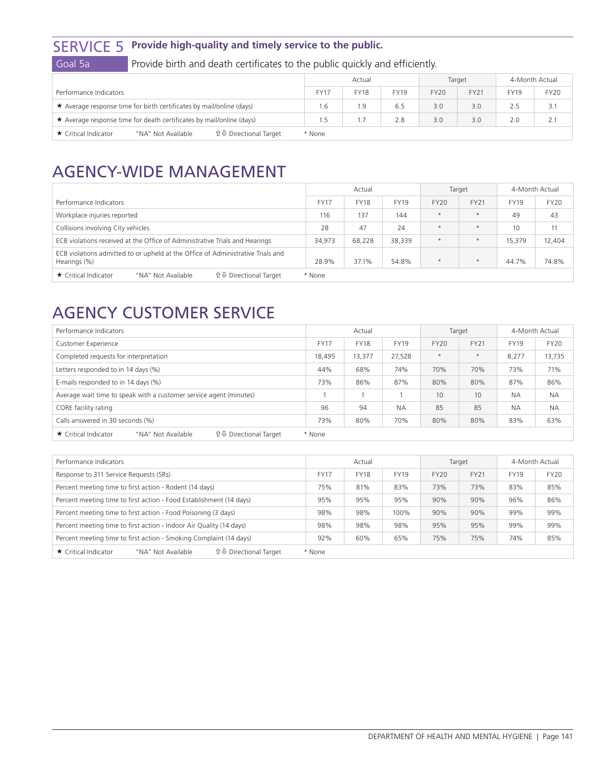### SERVICE 5 **Provide high-quality and timely service to the public.**

### Goal 5a Provide birth and death certificates to the public quickly and efficiently.

|                                                                             | Actual      |             |             |             | Target | 4-Month Actual |             |
|-----------------------------------------------------------------------------|-------------|-------------|-------------|-------------|--------|----------------|-------------|
| Performance Indicators                                                      | <b>FY17</b> | <b>FY18</b> | <b>FY19</b> | <b>FY20</b> | FY21   | <b>FY19</b>    | <b>FY20</b> |
| $\star$ Average response time for birth certificates by mail/online (days)  |             | 1.9         | 6.5         | 3.0         | 3.0    | 2.5            | 3.1         |
| ★ Average response time for death certificates by mail/online (days)        | 1.5         |             | 2.8         | 3.0         | 3.0    | 2.0            | 2.1         |
| <b>û ↓ Directional Target</b><br>"NA" Not Available<br>★ Critical Indicator | * None      |             |             |             |        |                |             |

### AGENCY-WIDE MANAGEMENT

|                                                                                                 | Actual      |             |             | Target      |             | 4-Month Actual |             |  |  |
|-------------------------------------------------------------------------------------------------|-------------|-------------|-------------|-------------|-------------|----------------|-------------|--|--|
| Performance Indicators                                                                          | <b>FY17</b> | <b>FY18</b> | <b>FY19</b> | <b>FY20</b> | <b>FY21</b> | <b>FY19</b>    | <b>FY20</b> |  |  |
| Workplace injuries reported                                                                     | 116         | 137         | 144         | $\star$     | $\star$     | 49             | 43          |  |  |
| Collisions involving City vehicles                                                              | 28          | 47          | 24          | $\star$     | $\star$     | 10             | 11          |  |  |
| ECB violations received at the Office of Administrative Trials and Hearings                     | 34,973      | 68,228      | 38,339      | $\star$     | $\star$     | 15,379         | 12,404      |  |  |
| ECB violations admitted to or upheld at the Office of Administrative Trials and<br>Hearings (%) | 28.9%       | 37.1%       | 54.8%       | $\star$     | $\star$     | 44.7%          | 74.8%       |  |  |
| <b>↑↓</b> Directional Target<br>★ Critical Indicator<br>"NA" Not Available<br>* None            |             |             |             |             |             |                |             |  |  |

### AGENCY CUSTOMER SERVICE

| Performance Indicators                                                               | Actual      |             |             | Target      |             | 4-Month Actual |             |  |  |  |
|--------------------------------------------------------------------------------------|-------------|-------------|-------------|-------------|-------------|----------------|-------------|--|--|--|
| <b>Customer Experience</b>                                                           | <b>FY17</b> | <b>FY18</b> | <b>FY19</b> | <b>FY20</b> | <b>FY21</b> | <b>FY19</b>    | <b>FY20</b> |  |  |  |
| Completed requests for interpretation                                                | 18,495      | 13,377      | 27.528      | $\star$     | $\star$     | 8.277          | 13,735      |  |  |  |
| Letters responded to in 14 days (%)                                                  | 44%         | 68%         | 74%         | 70%         | 70%         | 73%            | 71%         |  |  |  |
| E-mails responded to in 14 days (%)                                                  | 73%         | 86%         | 87%         | 80%         | 80%         | 87%            | 86%         |  |  |  |
| Average wait time to speak with a customer service agent (minutes)                   |             |             |             | 10          | 10          | <b>NA</b>      | <b>NA</b>   |  |  |  |
| CORE facility rating                                                                 | 96          | 94          | <b>NA</b>   | 85          | 85          | <b>NA</b>      | <b>NA</b>   |  |  |  |
| Calls answered in 30 seconds (%)                                                     | 73%         | 80%         | 70%         | 80%         | 80%         | 83%            | 63%         |  |  |  |
| ★ Critical Indicator<br><b>↑↓</b> Directional Target<br>"NA" Not Available<br>* None |             |             |             |             |             |                |             |  |  |  |

| Performance Indicators                                                                      | Actual      |             | Target      |             | 4-Month Actual |             |             |
|---------------------------------------------------------------------------------------------|-------------|-------------|-------------|-------------|----------------|-------------|-------------|
| Response to 311 Service Requests (SRs)                                                      | <b>FY17</b> | <b>FY18</b> | <b>FY19</b> | <b>FY20</b> | <b>FY21</b>    | <b>FY19</b> | <b>FY20</b> |
| Percent meeting time to first action - Rodent (14 days)                                     | 75%         | 81%         | 83%         | 73%         | 73%            | 83%         | 85%         |
| Percent meeting time to first action - Food Establishment (14 days)                         | 95%         | 95%         | 95%         | 90%         | 90%            | 96%         | 86%         |
| Percent meeting time to first action - Food Poisoning (3 days)                              | 98%         | 98%         | 100%        | 90%         | 90%            | 99%         | 99%         |
| Percent meeting time to first action - Indoor Air Quality (14 days)                         | 98%         | 98%         | 98%         | 95%         | 95%            | 99%         | 99%         |
| Percent meeting time to first action - Smoking Complaint (14 days)                          | 92%         | 60%         | 65%         | 75%         | 75%            | 74%         | 85%         |
| <b>û ↓ Directional Target</b><br>$\star$ Critical Indicator<br>"NA" Not Available<br>* None |             |             |             |             |                |             |             |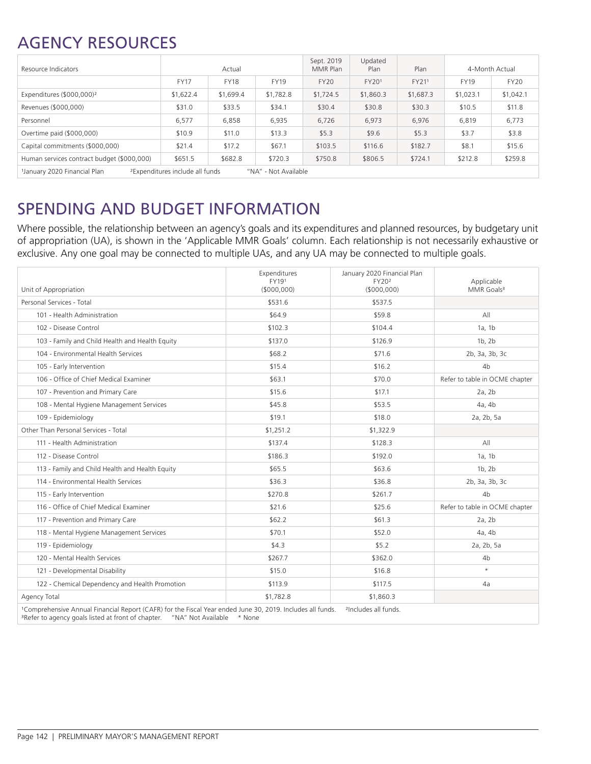## AGENCY RESOURCES

| Resource Indicators                                                                                             | Actual      |             | Sept. 2019<br>MMR Plan | Updated<br>Plan | Plan      | 4-Month Actual |             |             |
|-----------------------------------------------------------------------------------------------------------------|-------------|-------------|------------------------|-----------------|-----------|----------------|-------------|-------------|
|                                                                                                                 | <b>FY17</b> | <b>FY18</b> | <b>FY19</b>            | <b>FY20</b>     | FY201     | FY211          | <b>FY19</b> | <b>FY20</b> |
| Expenditures (\$000,000) <sup>2</sup>                                                                           | \$1,622.4   | \$1,699.4   | \$1,782.8              | \$1,724.5       | \$1,860.3 | \$1,687.3      | \$1,023.1   | \$1,042.1   |
| Revenues (\$000,000)                                                                                            | \$31.0      | \$33.5      | \$34.1                 | \$30.4          | \$30.8    | \$30.3         | \$10.5      | \$11.8      |
| Personnel                                                                                                       | 6,577       | 6,858       | 6,935                  | 6,726           | 6,973     | 6,976          | 6,819       | 6,773       |
| Overtime paid (\$000,000)                                                                                       | \$10.9      | \$11.0      | \$13.3                 | \$5.3           | \$9.6     | \$5.3          | \$3.7       | \$3.8       |
| Capital commitments (\$000,000)                                                                                 | \$21.4      | \$17.2      | \$67.1                 | \$103.5         | \$116.6   | \$182.7        | \$8.1       | \$15.6      |
| Human services contract budget (\$000,000)                                                                      | \$651.5     | \$682.8     | \$720.3                | \$750.8         | \$806.5   | \$724.1        | \$212.8     | \$259.8     |
| <sup>1</sup> January 2020 Financial Plan<br><sup>2</sup> Expenditures include all funds<br>"NA" - Not Available |             |             |                        |                 |           |                |             |             |

### SPENDING AND BUDGET INFORMATION

Where possible, the relationship between an agency's goals and its expenditures and planned resources, by budgetary unit of appropriation (UA), is shown in the 'Applicable MMR Goals' column. Each relationship is not necessarily exhaustive or exclusive. Any one goal may be connected to multiple UAs, and any UA may be connected to multiple goals.

|                                                                                                                                                            | Expenditures<br>FY191 | January 2020 Financial Plan<br>FY20 <sup>2</sup> | Applicable                     |  |  |  |  |
|------------------------------------------------------------------------------------------------------------------------------------------------------------|-----------------------|--------------------------------------------------|--------------------------------|--|--|--|--|
| Unit of Appropriation                                                                                                                                      | (5000,000)            | (\$000,000)                                      | MMR Goals <sup>3</sup>         |  |  |  |  |
| Personal Services - Total                                                                                                                                  | \$531.6               | \$537.5                                          |                                |  |  |  |  |
| 101 - Health Administration                                                                                                                                | \$64.9                | \$59.8                                           | All                            |  |  |  |  |
| 102 - Disease Control                                                                                                                                      | \$102.3               | \$104.4                                          | 1a, 1b                         |  |  |  |  |
| 103 - Family and Child Health and Health Equity                                                                                                            | \$137.0               | \$126.9                                          | 1b, 2b                         |  |  |  |  |
| 104 - Environmental Health Services                                                                                                                        | \$68.2                | \$71.6                                           | 2b, 3a, 3b, 3c                 |  |  |  |  |
| 105 - Early Intervention                                                                                                                                   | \$15.4                | \$16.2                                           | 4 <sub>b</sub>                 |  |  |  |  |
| 106 - Office of Chief Medical Examiner                                                                                                                     | \$63.1                | \$70.0                                           | Refer to table in OCME chapter |  |  |  |  |
| 107 - Prevention and Primary Care                                                                                                                          | \$15.6                | \$17.1                                           | 2a, 2b                         |  |  |  |  |
| 108 - Mental Hygiene Management Services                                                                                                                   | \$45.8                | \$53.5                                           | 4a, 4b                         |  |  |  |  |
| 109 - Epidemiology                                                                                                                                         | \$19.1                | \$18.0                                           | 2a, 2b, 5a                     |  |  |  |  |
| Other Than Personal Services - Total                                                                                                                       | \$1,251.2             | \$1,322.9                                        |                                |  |  |  |  |
| 111 - Health Administration                                                                                                                                | \$137.4               | \$128.3                                          | All                            |  |  |  |  |
| 112 - Disease Control                                                                                                                                      | \$186.3               | \$192.0                                          | 1a, 1b                         |  |  |  |  |
| 113 - Family and Child Health and Health Equity                                                                                                            | \$65.5                | \$63.6                                           | 1b, 2b                         |  |  |  |  |
| 114 - Environmental Health Services                                                                                                                        | \$36.3                | \$36.8                                           | 2b, 3a, 3b, 3c                 |  |  |  |  |
| 115 - Early Intervention                                                                                                                                   | \$270.8               | \$261.7                                          | 4 <sub>b</sub>                 |  |  |  |  |
| 116 - Office of Chief Medical Examiner                                                                                                                     | \$21.6                | \$25.6                                           | Refer to table in OCME chapter |  |  |  |  |
| 117 - Prevention and Primary Care                                                                                                                          | \$62.2                | \$61.3                                           | 2a, 2b                         |  |  |  |  |
| 118 - Mental Hygiene Management Services                                                                                                                   | \$70.1                | \$52.0                                           | 4a, 4b                         |  |  |  |  |
| 119 - Epidemiology                                                                                                                                         | \$4.3                 | \$5.2                                            | 2a, 2b, 5a                     |  |  |  |  |
| 120 - Mental Health Services                                                                                                                               | \$267.7               | \$362.0                                          | 4 <sub>b</sub>                 |  |  |  |  |
| 121 - Developmental Disability                                                                                                                             | \$15.0                | \$16.8                                           | $\star$                        |  |  |  |  |
| 122 - Chemical Dependency and Health Promotion                                                                                                             | \$113.9               | \$117.5                                          | 4a                             |  |  |  |  |
| Agency Total                                                                                                                                               | \$1,782.8             | \$1,860.3                                        |                                |  |  |  |  |
| <sup>1</sup> Comprehensive Annual Financial Report (CAFR) for the Fiscal Year ended June 30, 2019. Includes all funds.<br><sup>2</sup> Includes all funds. |                       |                                                  |                                |  |  |  |  |

<sup>3</sup>Refer to agency goals listed at front of chapter. "NA" Not Available \* None